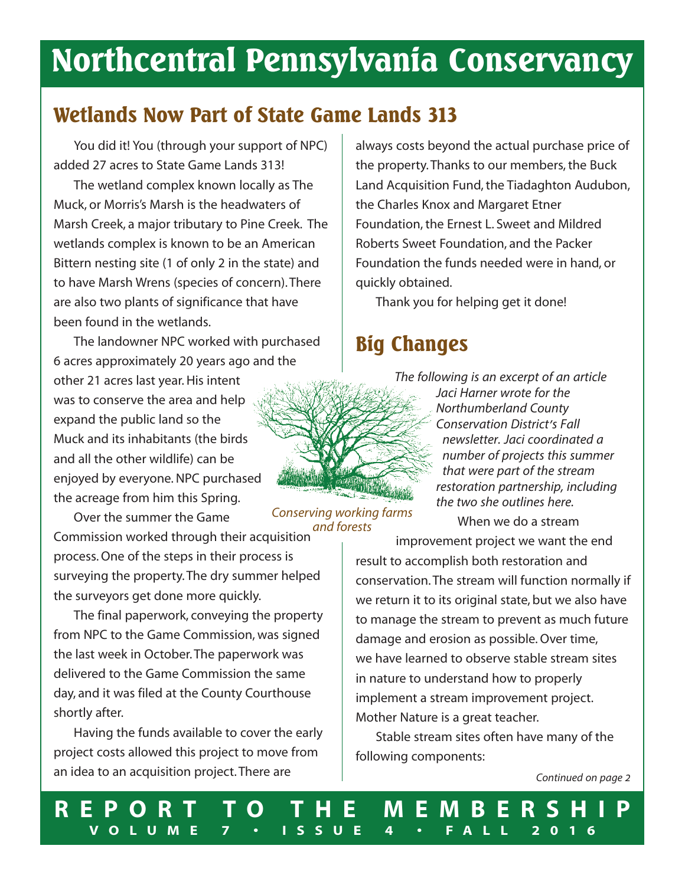# **Northcentral Pennsylvania Conservancy**

## **Wetlands Now Part of State Game Lands 313**

You did it! You (through your support of NPC) added 27 acres to State Game Lands 313!

The wetland complex known locally as The Muck, or Morris's Marsh is the headwaters of Marsh Creek, a major tributary to Pine Creek. The wetlands complex is known to be an American Bittern nesting site (1 of only 2 in the state) and to have Marsh Wrens (species of concern).There are also two plants of significance that have been found in the wetlands.

The landowner NPC worked with purchased 6 acres approximately 20 years ago and the other 21 acres last year. His intent was to conserve the area and help expand the public land so the Muck and its inhabitants (the birds and all the other wildlife) can be enjoyed by everyone.NPC purchased the acreage from him this Spring.

Over the summer the Game

Commission worked through their acquisition process.One of the steps in their process is surveying the property.The dry summer helped the surveyors get done more quickly. *and forests*

The final paperwork, conveying the property from NPC to the Game Commission, was signed the last week in October.The paperwork was delivered to the Game Commission the same day, and it was filed at the County Courthouse shortly after.

Having the funds available to cover the early project costs allowed this project to move from an idea to an acquisition project.There are

always costs beyond the actual purchase price of the property. Thanks to our members, the Buck Land Acquisition Fund, the Tiadaghton Audubon, the Charles Knox and Margaret Etner Foundation, the Ernest L. Sweet and Mildred Roberts Sweet Foundation, and the Packer Foundation the funds needed were in hand, or quickly obtained.

Thank you for helping get it done!

## **Big Changes**



*The following is an excerpt of an article Jaci Harner wrote for the Northumberland County Conservation District's Fall newsletter. Jaci coordinated a number of projects this summer that were part of the stream restoration partnership, including the two she outlines here.*

When we do a stream

improvement project we want the end result to accomplish both restoration and conservation.The stream will function normally if we return it to its original state, but we also have to manage the stream to prevent as much future damage and erosion as possible.Over time, we have learned to observe stable stream sites in nature to understand how to properly implement a stream improvement project. Mother Nature is a great teacher.

Stable stream sites often have many of the following components:

*Continued on page 2*

**R E P O R T T O T H E M E M B E R S H I P V O L U M E 7 • I S S U E 4 • F A L L 2 0 1 6**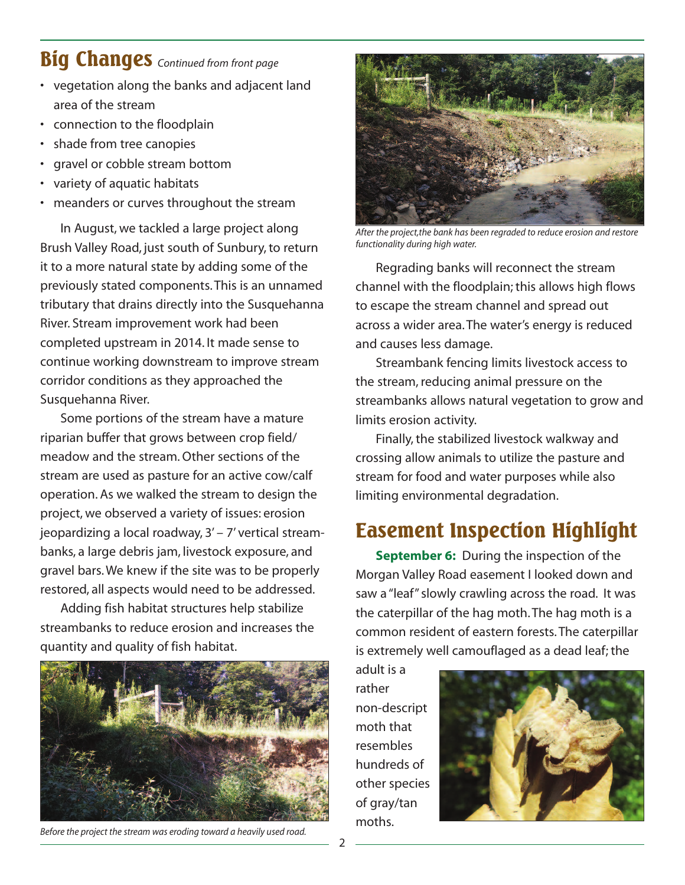## **Big Changes** *Continued from front page*

- vegetation along the banks and adjacent land area of the stream
- connection to the floodplain
- shade from tree canopies
- gravel or cobble stream bottom
- variety of aquatic habitats
- meanders or curves throughout the stream

In August, we tackled a large project along Brush Valley Road, just south of Sunbury,to return it to a more natural state by adding some of the previously stated components.This is an unnamed tributary that drains directly into the Susquehanna River. Stream improvement work had been completed upstream in 2014. It made sense to continue working downstream to improve stream corridor conditions as they approached the Susquehanna River.

Some portions of the stream have a mature riparian buffer that grows between crop field/ meadow and the stream.Other sections of the stream are used as pasture for an active cow/calf operation. As we walked the stream to design the project, we observed a variety of issues: erosion jeopardizing a local roadway, 3' – 7' vertical streambanks, a large debris jam, livestock exposure, and gravel bars.We knew if the site was to be properly restored, all aspects would need to be addressed.

Adding fish habitat structures help stabilize streambanks to reduce erosion and increases the quantity and quality of fish habitat.



*Before the project the stream was eroding toward a heavily used road.*



*After the project,the bank has been regraded to reduce erosion and restore functionality during high water.*

Regrading banks will reconnect the stream channel with the floodplain; this allows high flows to escape the stream channel and spread out across a wider area.The water's energy is reduced and causes less damage.

Streambank fencing limits livestock access to the stream, reducing animal pressure on the streambanks allows natural vegetation to grow and limits erosion activity.

Finally, the stabilized livestock walkway and crossing allow animals to utilize the pasture and stream for food and water purposes while also limiting environmental degradation.

## **Easement Inspection Highlight**

**September 6:** During the inspection of the Morgan Valley Road easement I looked down and saw a "leaf" slowly crawling across the road. It was the caterpillar of the hag moth.The hag moth is a common resident of eastern forests.The caterpillar is extremely well camouflaged as a dead leaf; the

adult is a rather non-descript moth that resembles hundreds of other species of gray/tan moths.

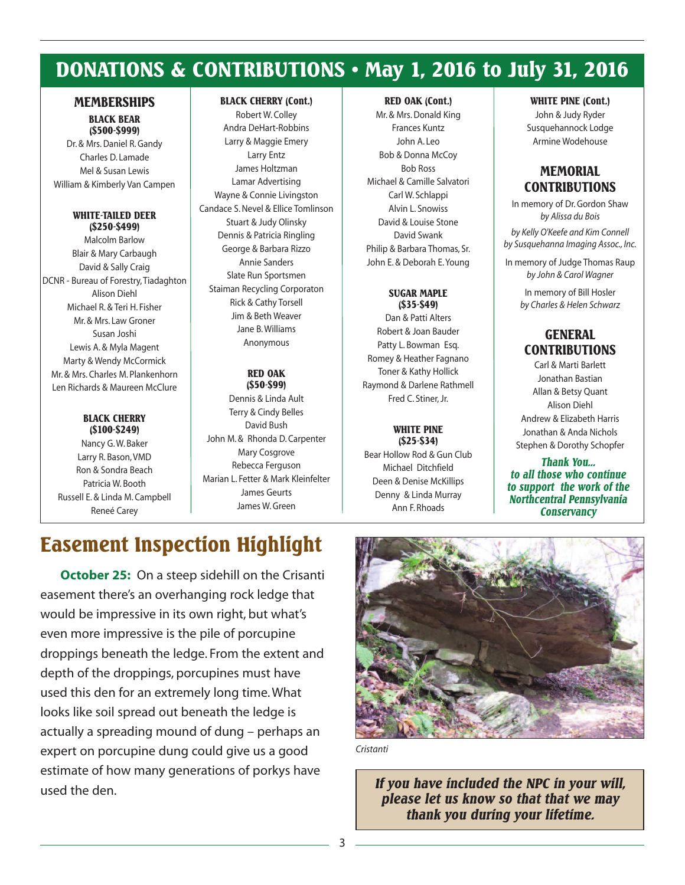## **DONATIONS & CONTRIBUTIONS • May 1, 2016 to July 31, 2016**

### **MEMBERSHIPS**

#### **BLACK BEAR (\$500-\$999)**

Dr. & Mrs. Daniel R. Gandy Charles D. Lamade Mel & Susan Lewis William & Kimberly Van Campen

#### **WHITE-TAILED DEER (\$250-\$499)**

Malcolm Barlow Blair & Mary Carbaugh David & Sally Craig DCNR - Bureau of Forestry,Tiadaghton Alison Diehl Michael R. & Teri H. Fisher Mr. & Mrs. Law Groner Susan Joshi Lewis A. & Myla Magent Marty & Wendy McCormick Mr. & Mrs. Charles M. Plankenhorn Len Richards & Maureen McClure

#### **BLACK CHERRY (\$100-\$249)**

Nancy G.W. Baker Larry R. Bason,VMD Ron & Sondra Beach Patricia W. Booth Russell E. & Linda M. Campbell Reneé Carey

#### **BLACK CHERRY (Cont.)**

Robert W. Colley Andra DeHart-Robbins Larry & Maggie Emery Larry Entz James Holtzman Lamar Advertising Wayne & Connie Livingston Candace S.Nevel & Ellice Tomlinson Stuart & Judy Olinsky Dennis & Patricia Ringling George & Barbara Rizzo Annie Sanders Slate Run Sportsmen Staiman Recycling Corporaton Rick & Cathy Torsell Jim & Beth Weaver Jane B.Williams Anonymous

#### **RED OAK (\$50-\$99)**

Dennis & Linda Ault Terry & Cindy Belles David Bush John M. & Rhonda D. Carpenter Mary Cosgrove Rebecca Ferguson Marian L. Fetter & Mark Kleinfelter James Geurts James W.Green

#### **RED OAK (Cont.)**

Mr. & Mrs.Donald King Frances Kuntz John A. Leo Bob & Donna McCoy Bob Ross Michael & Camille Salvatori Carl W. Schlappi Alvin L. Snowiss David & Louise Stone David Swank Philip & Barbara Thomas, Sr. John E. & Deborah E.Young

### **SUGAR MAPLE**

**(\$35-\$49)** Dan & Patti Alters Robert & Joan Bauder Patty L. Bowman Esq. Romey & Heather Fagnano Toner & Kathy Hollick Raymond & Darlene Rathmell Fred C. Stiner, Jr.

### **WHITE PINE**

**(\$25-\$34)** Bear Hollow Rod & Gun Club Michael Ditchfield Deen & Denise McKillips Denny & Linda Murray Ann F. Rhoads

#### **WHITE PINE (Cont.)**

John & Judy Ryder Susquehannock Lodge Armine Wodehouse

### **MEMORIAL CONTRIBUTIONS**

In memory of Dr.Gordon Shaw *by Alissa du Bois*

*by Kelly O'Keefe and Kim Connell by Susquehanna Imaging Assoc., Inc.*

In memory of Judge Thomas Raup *by John & Carol Wagner*

In memory of Bill Hosler *by Charles & Helen Schwarz*

### **GENERAL CONTRIBUTIONS**

Carl & Marti Barlett Jonathan Bastian Allan & Betsy Quant Alison Diehl Andrew & Elizabeth Harris Jonathan & Anda Nichols Stephen & Dorothy Schopfer

*Thank You... to all those who continue to support the work of the Northcentral Pennsylvania Conservancy*

## **Easement Inspection Highlight**

**October 25:** On a steep sidehill on the Crisanti easement there's an overhanging rock ledge that would be impressive in its own right, but what's even more impressive is the pile of porcupine droppings beneath the ledge. From the extent and depth of the droppings, porcupines must have used this den for an extremely long time.What looks like soil spread out beneath the ledge is actually a spreading mound of dung – perhaps an expert on porcupine dung could give us a good estimate of how many generations of porkys have used the den.



*Cristanti*

*If you have included the NPC in your will, please let us know so that that we may thank you during your lifetime.*